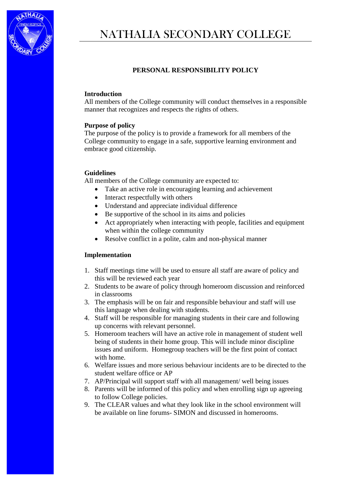

# **PERSONAL RESPONSIBILITY POLICY**

#### **Introduction**

All members of the College community will conduct themselves in a responsible manner that recognizes and respects the rights of others.

## **Purpose of policy**

The purpose of the policy is to provide a framework for all members of the College community to engage in a safe, supportive learning environment and embrace good citizenship.

#### **Guidelines**

All members of the College community are expected to:

- Take an active role in encouraging learning and achievement
- Interact respectfully with others
- Understand and appreciate individual difference
- Be supportive of the school in its aims and policies
- Act appropriately when interacting with people, facilities and equipment when within the college community
- Resolve conflict in a polite, calm and non-physical manner

## **Implementation**

- 1. Staff meetings time will be used to ensure all staff are aware of policy and this will be reviewed each year
- 2. Students to be aware of policy through homeroom discussion and reinforced in classrooms
- 3. The emphasis will be on fair and responsible behaviour and staff will use this language when dealing with students.
- 4. Staff will be responsible for managing students in their care and following up concerns with relevant personnel.
- 5. Homeroom teachers will have an active role in management of student well being of students in their home group. This will include minor discipline issues and uniform. Homegroup teachers will be the first point of contact with home.
- 6. Welfare issues and more serious behaviour incidents are to be directed to the student welfare office or AP
- 7. AP/Principal will support staff with all management/ well being issues
- 8. Parents will be informed of this policy and when enrolling sign up agreeing to follow College policies.
- 9. The CLEAR values and what they look like in the school environment will be available on line forums- SIMON and discussed in homerooms.